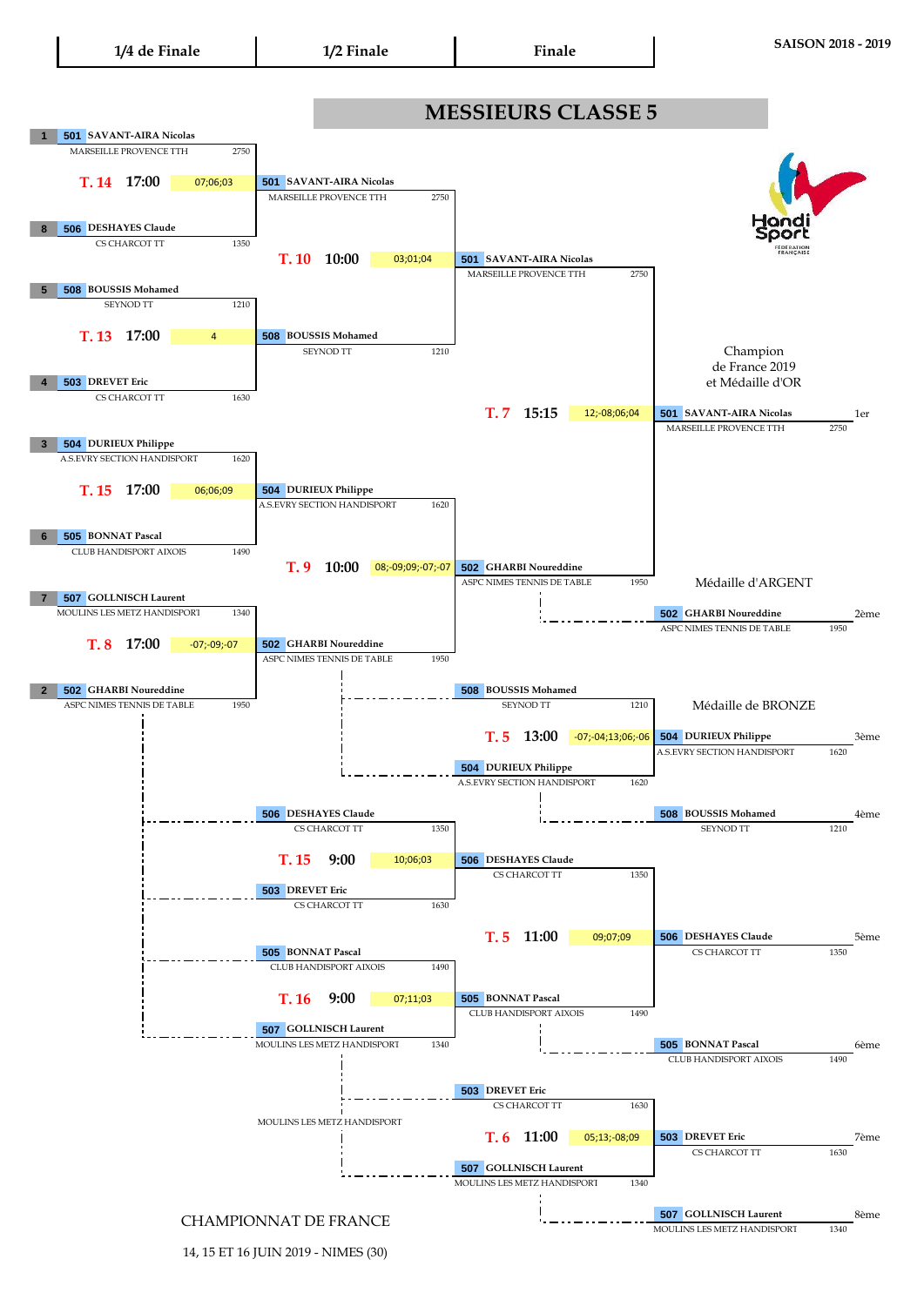